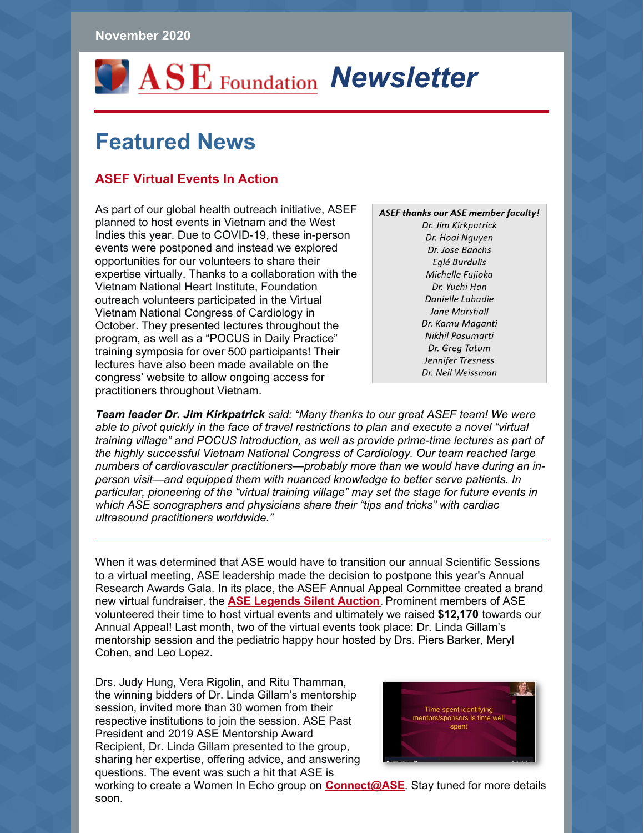# *OASE* Foundation **Newsletter**

## **Featured News**

#### **ASEF Virtual Events In Action**

As part of our global health outreach initiative, ASEF planned to host events in Vietnam and the West Indies this year. Due to COVID-19, these in-person events were postponed and instead we explored opportunities for our volunteers to share their expertise virtually. Thanks to a collaboration with the Vietnam National Heart Institute, Foundation outreach volunteers participated in the Virtual Vietnam National Congress of Cardiology in October. They presented lectures throughout the program, as well as a "POCUS in Daily Practice" training symposia for over 500 participants! Their lectures have also been made available on the congress' website to allow ongoing access for practitioners throughout Vietnam.

**ASEF thanks our ASE member faculty!** Dr. Jim Kirkpatrick Dr. Hoai Nguyen Dr. Jose Banchs Eglé Burdulis Michelle Fujioka Dr. Yuchi Han Danielle Labadie Jane Marshall Dr. Kamu Maganti Nikhil Pasumarti Dr. Greg Tatum Jennifer Tresness Dr. Neil Weissman

*Team leader Dr. Jim Kirkpatrick said: "Many thanks to our great ASEF team! We were able to pivot quickly in the face of travel restrictions to plan and execute a novel "virtual training village" and POCUS introduction, as well as provide prime-time lectures as part of the highly successful Vietnam National Congress of Cardiology. Our team reached large numbers of cardiovascular practitioners—probably more than we would have during an inperson visit—and equipped them with nuanced knowledge to better serve patients. In particular, pioneering of the "virtual training village" may set the stage for future events in which ASE sonographers and physicians share their "tips and tricks" with cardiac ultrasound practitioners worldwide."*

When it was determined that ASE would have to transition our annual Scientific Sessions to a virtual meeting, ASE leadership made the decision to postpone this year's Annual Research Awards Gala. In its place, the ASEF Annual Appeal Committee created a brand new virtual fundraiser, the **ASE [Legends](https://www.asefoundation.org/silentauction/) Silent Auction**. Prominent members of ASE volunteered their time to host virtual events and ultimately we raised **\$12,170** towards our Annual Appeal! Last month, two of the virtual events took place: Dr. Linda Gillam's mentorship session and the pediatric happy hour hosted by Drs. Piers Barker, Meryl Cohen, and Leo Lopez.

Drs. Judy Hung, Vera Rigolin, and Ritu Thamman, the winning bidders of Dr. Linda Gillam's mentorship session, invited more than 30 women from their respective institutions to join the session. ASE Past President and 2019 ASE Mentorship Award Recipient, Dr. Linda Gillam presented to the group, sharing her expertise, offering advice, and answering questions. The event was such a hit that ASE is



working to create a Women In Echo group on **[Connect@ASE](https://connect.asecho.org/)**. Stay tuned for more details soon.